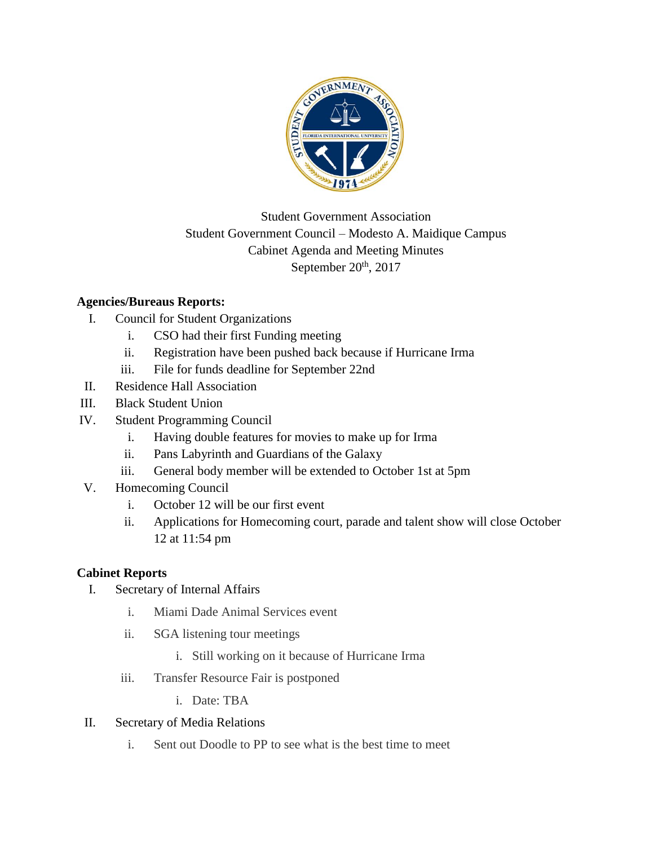

## Student Government Association Student Government Council – Modesto A. Maidique Campus Cabinet Agenda and Meeting Minutes September  $20<sup>th</sup>$ , 2017

## **Agencies/Bureaus Reports:**

- I. Council for Student Organizations
	- i. CSO had their first Funding meeting
	- ii. Registration have been pushed back because if Hurricane Irma
	- iii. File for funds deadline for September 22nd
- II. Residence Hall Association
- III. Black Student Union
- IV. Student Programming Council
	- i. Having double features for movies to make up for Irma
	- ii. Pans Labyrinth and Guardians of the Galaxy
	- iii. General body member will be extended to October 1st at 5pm
- V. Homecoming Council
	- i. October 12 will be our first event
	- ii. Applications for Homecoming court, parade and talent show will close October 12 at 11:54 pm

## **Cabinet Reports**

- I. Secretary of Internal Affairs
	- i. Miami Dade Animal Services event
	- ii. SGA listening tour meetings
		- i. Still working on it because of Hurricane Irma
	- iii. Transfer Resource Fair is postponed
		- i. Date: TBA
- II. Secretary of Media Relations
	- i. Sent out Doodle to PP to see what is the best time to meet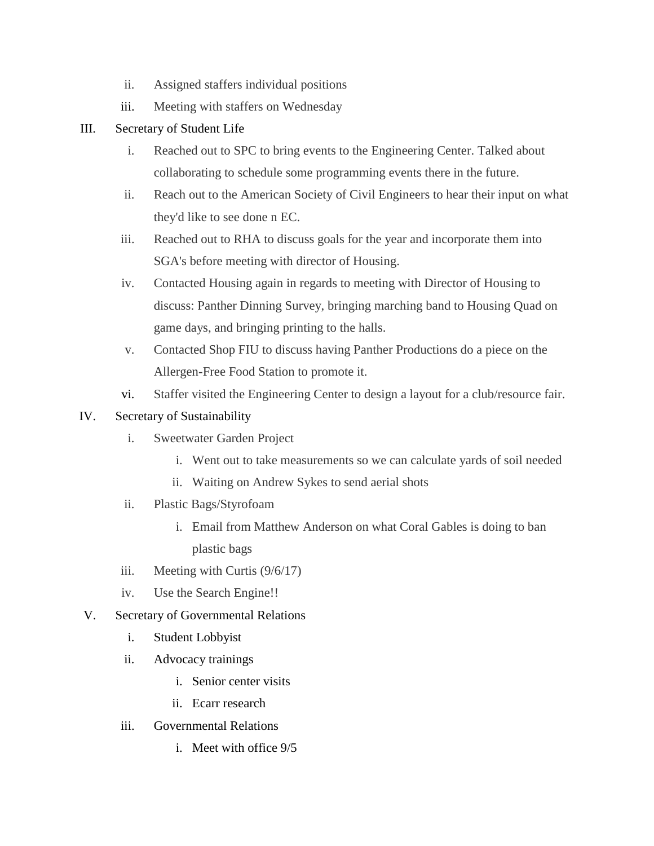- ii. Assigned staffers individual positions
- iii. Meeting with staffers on Wednesday
- III. Secretary of Student Life
	- i. Reached out to SPC to bring events to the Engineering Center. Talked about collaborating to schedule some programming events there in the future.
	- ii. Reach out to the American Society of Civil Engineers to hear their input on what they'd like to see done n EC.
	- iii. Reached out to RHA to discuss goals for the year and incorporate them into SGA's before meeting with director of Housing.
	- iv. Contacted Housing again in regards to meeting with Director of Housing to discuss: Panther Dinning Survey, bringing marching band to Housing Quad on game days, and bringing printing to the halls.
	- v. Contacted Shop FIU to discuss having Panther Productions do a piece on the Allergen-Free Food Station to promote it.
	- vi. Staffer visited the Engineering Center to design a layout for a club/resource fair.

## IV. Secretary of Sustainability

- i. Sweetwater Garden Project
	- i. Went out to take measurements so we can calculate yards of soil needed
	- ii. Waiting on Andrew Sykes to send aerial shots
- ii. Plastic Bags/Styrofoam
	- i. Email from Matthew Anderson on what Coral Gables is doing to ban plastic bags
- iii. Meeting with Curtis (9/6/17)
- iv. Use the Search Engine!!
- V. Secretary of Governmental Relations
	- i. Student Lobbyist
	- ii. Advocacy trainings
		- i. Senior center visits
		- ii. Ecarr research
	- iii. Governmental Relations
		- i. Meet with office 9/5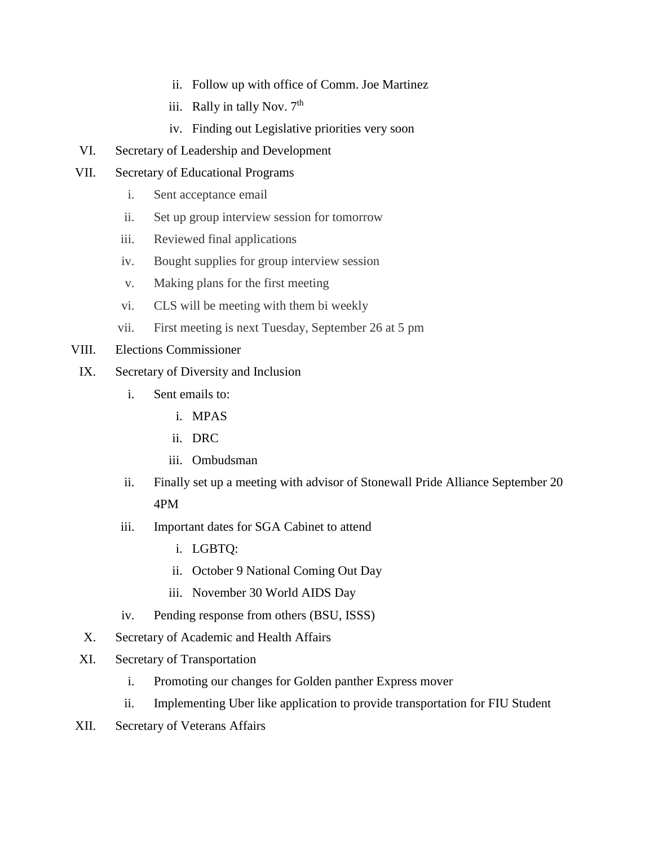- ii. Follow up with office of Comm. Joe Martinez
- iii. Rally in tally Nov.  $7<sup>th</sup>$
- iv. Finding out Legislative priorities very soon
- VI. Secretary of Leadership and Development
- VII. Secretary of Educational Programs
	- i. Sent acceptance email
	- ii. Set up group interview session for tomorrow
	- iii. Reviewed final applications
	- iv. Bought supplies for group interview session
	- v. Making plans for the first meeting
	- vi. CLS will be meeting with them bi weekly
	- vii. First meeting is next Tuesday, September 26 at 5 pm
- VIII. Elections Commissioner
- IX. Secretary of Diversity and Inclusion
	- i. Sent emails to:
		- i. MPAS
		- ii. DRC
		- iii. Ombudsman
	- ii. Finally set up a meeting with advisor of Stonewall Pride Alliance September 20 4PM
	- iii. Important dates for SGA Cabinet to attend
		- i. LGBTQ:
		- ii. October 9 National Coming Out Day
		- iii. November 30 World AIDS Day
	- iv. Pending response from others (BSU, ISSS)
	- X. Secretary of Academic and Health Affairs
- XI. Secretary of Transportation
	- i. Promoting our changes for Golden panther Express mover
	- ii. Implementing Uber like application to provide transportation for FIU Student
- XII. Secretary of Veterans Affairs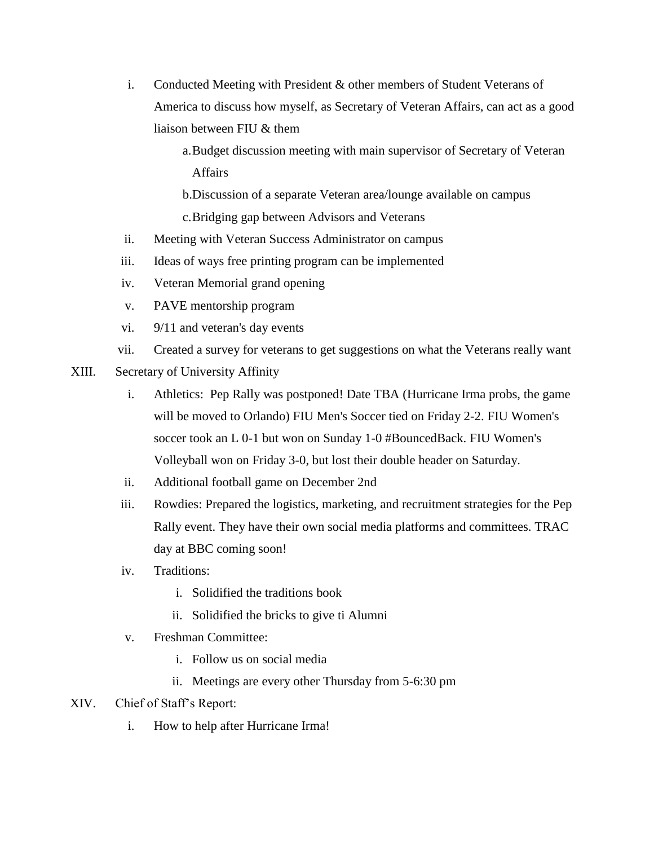- i. Conducted Meeting with President & other members of Student Veterans of America to discuss how myself, as Secretary of Veteran Affairs, can act as a good liaison between FIU & them
	- a.Budget discussion meeting with main supervisor of Secretary of Veteran Affairs

b.Discussion of a separate Veteran area/lounge available on campus c.Bridging gap between Advisors and Veterans

- ii. Meeting with Veteran Success Administrator on campus
- iii. Ideas of ways free printing program can be implemented
- iv. Veteran Memorial grand opening
- v. PAVE mentorship program
- vi. 9/11 and veteran's day events
- vii. Created a survey for veterans to get suggestions on what the Veterans really want
- XIII. Secretary of University Affinity
	- i. Athletics: Pep Rally was postponed! Date TBA (Hurricane Irma probs, the game will be moved to Orlando) FIU Men's Soccer tied on Friday 2-2. FIU Women's soccer took an L 0-1 but won on Sunday 1-0 #BouncedBack. FIU Women's Volleyball won on Friday 3-0, but lost their double header on Saturday.
	- ii. Additional football game on December 2nd
	- iii. Rowdies: Prepared the logistics, marketing, and recruitment strategies for the Pep Rally event. They have their own social media platforms and committees. TRAC day at BBC coming soon!
	- iv. Traditions:
		- i. Solidified the traditions book
		- ii. Solidified the bricks to give ti Alumni
	- v. Freshman Committee:
		- i. Follow us on social media
		- ii. Meetings are every other Thursday from 5-6:30 pm
- XIV. Chief of Staff's Report:
	- i. How to help after Hurricane Irma!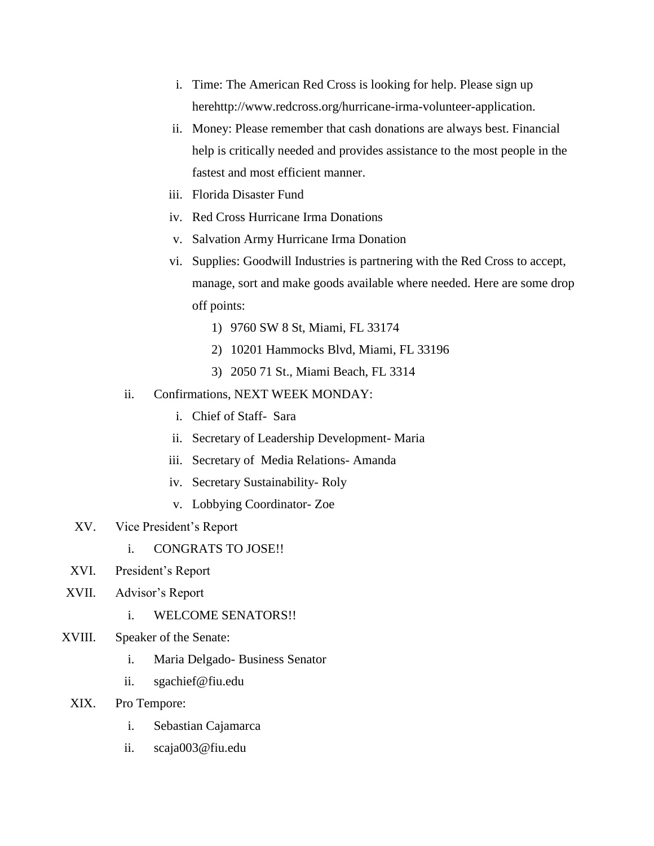- i. Time: The American Red Cross is looking for help. Please sign up herehttp://www.redcross.org/hurricane-irma-volunteer-application.
- ii. Money: Please remember that cash donations are always best. Financial help is critically needed and provides assistance to the most people in the fastest and most efficient manner.
- iii. Florida Disaster Fund
- iv. Red Cross Hurricane Irma Donations
- v. Salvation Army Hurricane Irma Donation
- vi. Supplies: Goodwill Industries is partnering with the Red Cross to accept, manage, sort and make goods available where needed. Here are some drop off points:
	- 1) 9760 SW 8 St, Miami, FL 33174
	- 2) 10201 Hammocks Blvd, Miami, FL 33196
	- 3) 2050 71 St., Miami Beach, FL 3314
- ii. Confirmations, NEXT WEEK MONDAY:
	- i. Chief of Staff- Sara
	- ii. Secretary of Leadership Development- Maria
	- iii. Secretary of Media Relations- Amanda
	- iv. Secretary Sustainability- Roly
	- v. Lobbying Coordinator- Zoe
- XV. Vice President's Report
	- i. CONGRATS TO JOSE!!
- XVI. President's Report
- XVII. Advisor's Report
	- i. WELCOME SENATORS!!
- XVIII. Speaker of the Senate:
	- i. Maria Delgado- Business Senator
	- ii. sgachief@fiu.edu
- XIX. Pro Tempore:
	- i. Sebastian Cajamarca
	- ii. scaja003@fiu.edu